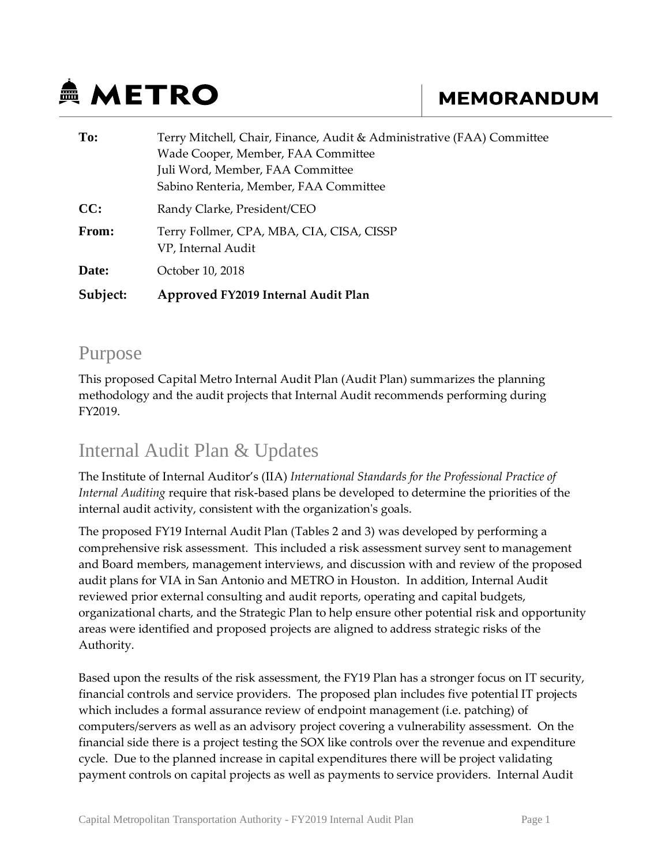# **鱼 METRO**

## **MEMORANDUM**

| To:      | Terry Mitchell, Chair, Finance, Audit & Administrative (FAA) Committee |
|----------|------------------------------------------------------------------------|
|          | Wade Cooper, Member, FAA Committee                                     |
|          | Juli Word, Member, FAA Committee                                       |
|          | Sabino Renteria, Member, FAA Committee                                 |
| CC:      | Randy Clarke, President/CEO                                            |
| From:    | Terry Follmer, CPA, MBA, CIA, CISA, CISSP<br>VP, Internal Audit        |
| Date:    | October 10, 2018                                                       |
| Subject: | Approved FY2019 Internal Audit Plan                                    |

#### Purpose

This proposed Capital Metro Internal Audit Plan (Audit Plan) summarizes the planning methodology and the audit projects that Internal Audit recommends performing during FY2019.

## Internal Audit Plan & Updates

The Institute of Internal Auditor's (IIA) *International Standards for the Professional Practice of Internal Auditing* require that risk-based plans be developed to determine the priorities of the internal audit activity, consistent with the organization's goals.

The proposed FY19 Internal Audit Plan (Tables 2 and 3) was developed by performing a comprehensive risk assessment. This included a risk assessment survey sent to management and Board members, management interviews, and discussion with and review of the proposed audit plans for VIA in San Antonio and METRO in Houston. In addition, Internal Audit reviewed prior external consulting and audit reports, operating and capital budgets, organizational charts, and the Strategic Plan to help ensure other potential risk and opportunity areas were identified and proposed projects are aligned to address strategic risks of the Authority.

Based upon the results of the risk assessment, the FY19 Plan has a stronger focus on IT security, financial controls and service providers. The proposed plan includes five potential IT projects which includes a formal assurance review of endpoint management (i.e. patching) of computers/servers as well as an advisory project covering a vulnerability assessment. On the financial side there is a project testing the SOX like controls over the revenue and expenditure cycle. Due to the planned increase in capital expenditures there will be project validating payment controls on capital projects as well as payments to service providers. Internal Audit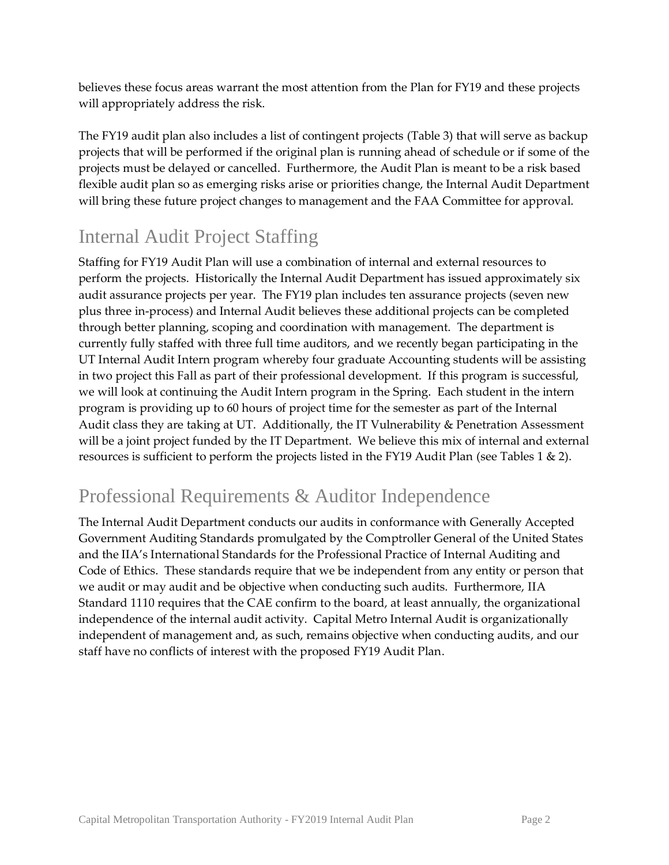believes these focus areas warrant the most attention from the Plan for FY19 and these projects will appropriately address the risk.

The FY19 audit plan also includes a list of contingent projects (Table 3) that will serve as backup projects that will be performed if the original plan is running ahead of schedule or if some of the projects must be delayed or cancelled. Furthermore, the Audit Plan is meant to be a risk based flexible audit plan so as emerging risks arise or priorities change, the Internal Audit Department will bring these future project changes to management and the FAA Committee for approval.

## Internal Audit Project Staffing

Staffing for FY19 Audit Plan will use a combination of internal and external resources to perform the projects. Historically the Internal Audit Department has issued approximately six audit assurance projects per year. The FY19 plan includes ten assurance projects (seven new plus three in-process) and Internal Audit believes these additional projects can be completed through better planning, scoping and coordination with management. The department is currently fully staffed with three full time auditors, and we recently began participating in the UT Internal Audit Intern program whereby four graduate Accounting students will be assisting in two project this Fall as part of their professional development. If this program is successful, we will look at continuing the Audit Intern program in the Spring. Each student in the intern program is providing up to 60 hours of project time for the semester as part of the Internal Audit class they are taking at UT. Additionally, the IT Vulnerability & Penetration Assessment will be a joint project funded by the IT Department. We believe this mix of internal and external resources is sufficient to perform the projects listed in the FY19 Audit Plan (see Tables 1 & 2).

## Professional Requirements & Auditor Independence

The Internal Audit Department conducts our audits in conformance with Generally Accepted Government Auditing Standards promulgated by the Comptroller General of the United States and the IIA's International Standards for the Professional Practice of Internal Auditing and Code of Ethics. These standards require that we be independent from any entity or person that we audit or may audit and be objective when conducting such audits. Furthermore, IIA Standard 1110 requires that the CAE confirm to the board, at least annually, the organizational independence of the internal audit activity. Capital Metro Internal Audit is organizationally independent of management and, as such, remains objective when conducting audits, and our staff have no conflicts of interest with the proposed FY19 Audit Plan.